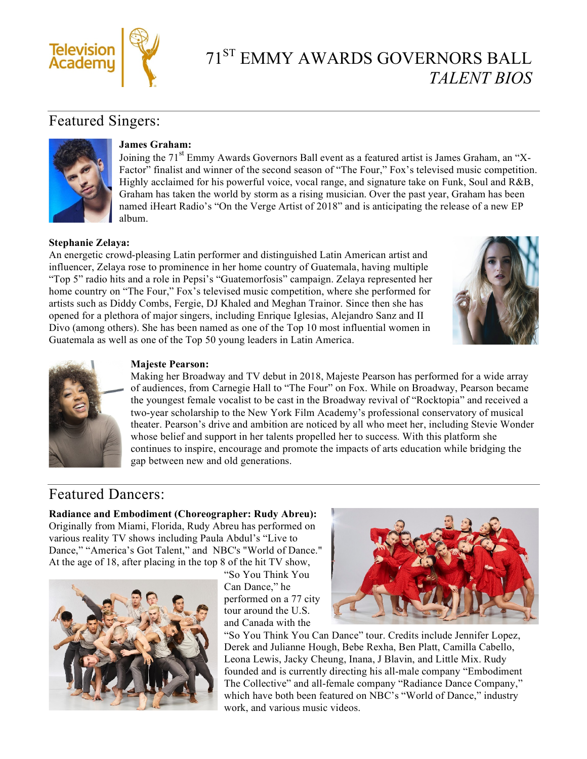

# 71ST EMMY AWARDS GOVERNORS BALL *TALENT BIOS*

# Featured Singers:



#### **James Graham:**

Joining the 71<sup>st</sup> Emmy Awards Governors Ball event as a featured artist is James Graham, an "X-Factor" finalist and winner of the second season of "The Four," Fox's televised music competition. Highly acclaimed for his powerful voice, vocal range, and signature take on Funk, Soul and R&B, Graham has taken the world by storm as a rising musician. Over the past year, Graham has been named iHeart Radio's "On the Verge Artist of 2018" and is anticipating the release of a new EP album.

#### **Stephanie Zelaya:**

An energetic crowd-pleasing Latin performer and distinguished Latin American artist and influencer, Zelaya rose to prominence in her home country of Guatemala, having multiple "Top 5" radio hits and a role in Pepsi's "Guatemorfosis" campaign. Zelaya represented her home country on "The Four," Fox's televised music competition, where she performed for artists such as Diddy Combs, Fergie, DJ Khaled and Meghan Trainor. Since then she has opened for a plethora of major singers, including Enrique Iglesias, Alejandro Sanz and II Divo (among others). She has been named as one of the Top 10 most influential women in Guatemala as well as one of the Top 50 young leaders in Latin America.





#### **Majeste Pearson:**

Making her Broadway and TV debut in 2018, Majeste Pearson has performed for a wide array of audiences, from Carnegie Hall to "The Four" on Fox. While on Broadway, Pearson became the youngest female vocalist to be cast in the Broadway revival of "Rocktopia" and received a two-year scholarship to the New York Film Academy's professional conservatory of musical theater. Pearson's drive and ambition are noticed by all who meet her, including Stevie Wonder whose belief and support in her talents propelled her to success. With this platform she continues to inspire, encourage and promote the impacts of arts education while bridging the gap between new and old generations.

## Featured Dancers:

**Radiance and Embodiment (Choreographer: Rudy Abreu):** Originally from Miami, Florida, Rudy Abreu has performed on various reality TV shows including Paula Abdul's "Live to Dance," "America's Got Talent," and NBC's "World of Dance." At the age of 18, after placing in the top 8 of the hit TV show,



"So You Think You Can Dance," he performed on a 77 city tour around the U.S. and Canada with the



"So You Think You Can Dance" tour. Credits include Jennifer Lopez, Derek and Julianne Hough, Bebe Rexha, Ben Platt, Camilla Cabello, Leona Lewis, Jacky Cheung, Inana, J Blavin, and Little Mix. Rudy founded and is currently directing his all-male company "Embodiment The Collective" and all-female company "Radiance Dance Company," which have both been featured on NBC's "World of Dance," industry work, and various music videos.